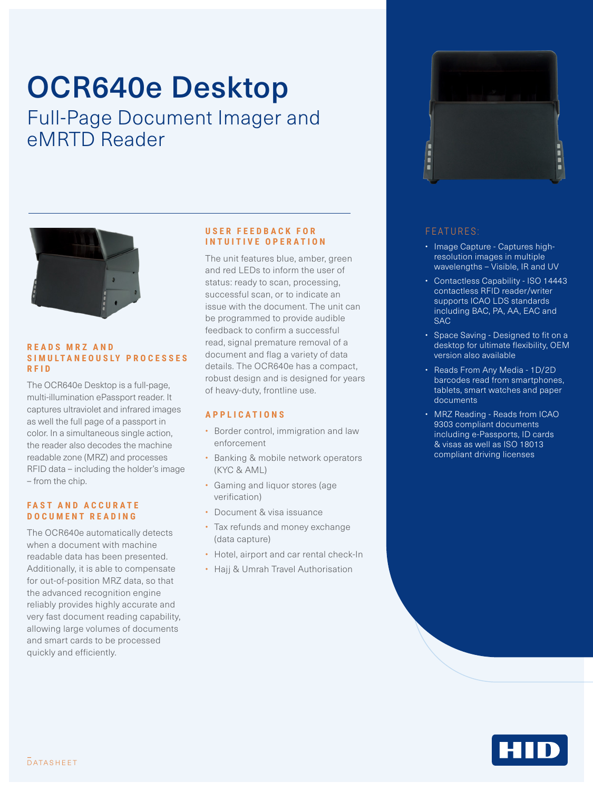# OCR640e Desktop

Full-Page Document Imager and eMRTD Reader



#### **R E A D S M R Z A N D S I M U L T A N E O U S LY P R O C E S S E S RFID**

The OCR640e Desktop is a full-page, multi-illumination ePassport reader. It captures ultraviolet and infrared images as well the full page of a passport in color. In a simultaneous single action, the reader also decodes the machine readable zone (MRZ) and processes RFID data – including the holder's image – from the chip.

#### **FAST AND ACCURATE DOCUMENT READING**

The OCR640e automatically detects when a document with machine readable data has been presented. Additionally, it is able to compensate for out-of-position MRZ data, so that the advanced recognition engine reliably provides highly accurate and very fast document reading capability, allowing large volumes of documents and smart cards to be processed quickly and efficiently.

#### **U S E R F E E D B A C K F O R INTUITIVE OPERATION**

The unit features blue, amber, green and red LEDs to inform the user of status: ready to scan, processing, successful scan, or to indicate an issue with the document. The unit can be programmed to provide audible feedback to confirm a successful read, signal premature removal of a document and flag a variety of data details. The OCR640e has a compact, robust design and is designed for years of heavy-duty, frontline use.

#### **APPLICATIONS**

- Border control, immigration and law enforcement
- Banking & mobile network operators (KYC & AML)
- Gaming and liquor stores (age verification)
- Document & visa issuance
- Tax refunds and money exchange (data capture)
- Hotel, airport and car rental check-In
- Hajj & Umrah Travel Authorisation



### FEATURES:

- Image Capture Captures highresolution images in multiple wavelengths – Visible, IR and UV
- Contactless Capability ISO 14443 contactless RFID reader/writer supports ICAO LDS standards including BAC, PA, AA, EAC and SAC
- Space Saving Designed to fit on a desktop for ultimate flexibility, OEM version also available
- Reads From Any Media 1D/2D barcodes read from smartphones, tablets, smart watches and paper documents
- MRZ Reading Reads from ICAO 9303 compliant documents including e-Passports, ID cards & visas as well as ISO 18013 compliant driving licenses